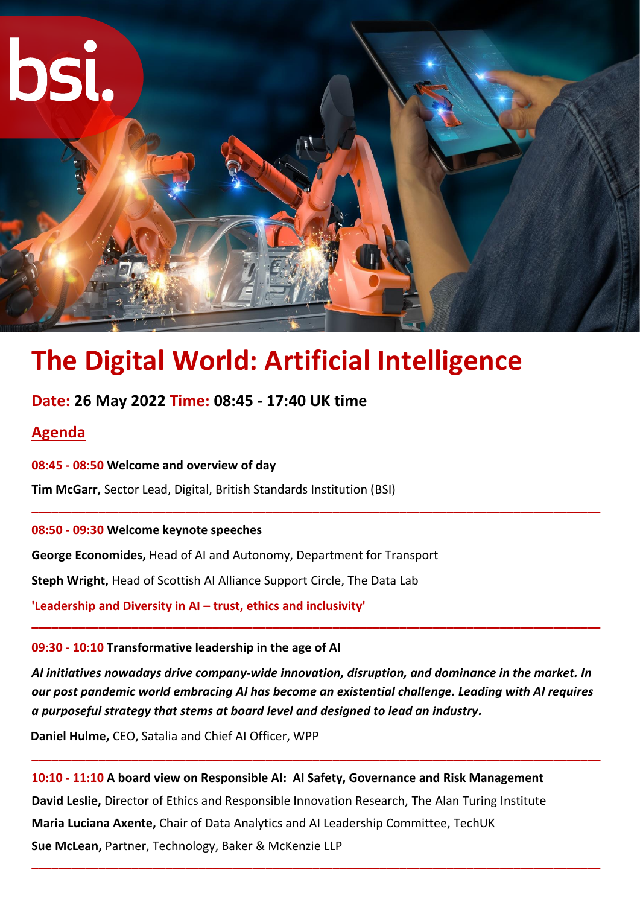

# **The Digital World: Artificial Intelligence**

# **Date: 26 May 2022 Time: 08:45 - 17:40 UK time**

# **Agenda**

**08:45 - 08:50 Welcome and overview of day**

**Tim McGarr,** Sector Lead, Digital, British Standards Institution (BSI)

**08:50 - 09:30 Welcome keynote speeches**

**George Economides,** Head of AI and Autonomy, Department for Transport

**Steph Wright,** Head of Scottish AI Alliance Support Circle, The Data Lab

**'Leadership and Diversity in AI – trust, ethics and inclusivity'**

# **09:30 - 10:10 Transformative leadership in the age of AI**

*AI initiatives nowadays drive company-wide innovation, disruption, and dominance in the market. In our post pandemic world embracing AI has become an existential challenge. Leading with AI requires a purposeful strategy that stems at board level and designed to lead an industry.*

**\_\_\_\_\_\_\_\_\_\_\_\_\_\_\_\_\_\_\_\_\_\_\_\_\_\_\_\_\_\_\_\_\_\_\_\_\_\_\_\_\_\_\_\_\_\_\_\_\_\_\_\_\_\_\_\_\_\_\_\_\_\_\_\_\_\_\_\_\_\_\_\_\_\_\_\_\_\_\_\_\_\_\_\_\_**

**\_\_\_\_\_\_\_\_\_\_\_\_\_\_\_\_\_\_\_\_\_\_\_\_\_\_\_\_\_\_\_\_\_\_\_\_\_\_\_\_\_\_\_\_\_\_\_\_\_\_\_\_\_\_\_\_\_\_\_\_\_\_\_\_\_\_\_\_\_\_\_\_\_\_\_\_\_\_\_\_\_\_\_\_\_**

**\_\_\_\_\_\_\_\_\_\_\_\_\_\_\_\_\_\_\_\_\_\_\_\_\_\_\_\_\_\_\_\_\_\_\_\_\_\_\_\_\_\_\_\_\_\_\_\_\_\_\_\_\_\_\_\_\_\_\_\_\_\_\_\_\_\_\_\_\_\_\_\_\_\_\_\_\_\_\_\_\_\_\_\_\_**

**Daniel Hulme,** CEO, Satalia and Chief AI Officer, WPP

**10:10 - 11:10 A board view on Responsible AI: AI Safety, Governance and Risk Management David Leslie,** Director of Ethics and Responsible Innovation Research, The Alan Turing Institute **Maria Luciana Axente,** Chair of Data Analytics and AI Leadership Committee, TechUK **Sue McLean,** Partner, Technology, Baker & McKenzie LLP **\_\_\_\_\_\_\_\_\_\_\_\_\_\_\_\_\_\_\_\_\_\_\_\_\_\_\_\_\_\_\_\_\_\_\_\_\_\_\_\_\_\_\_\_\_\_\_\_\_\_\_\_\_\_\_\_\_\_\_\_\_\_\_\_\_\_\_\_\_\_\_\_\_\_\_\_\_\_\_\_\_\_\_\_\_**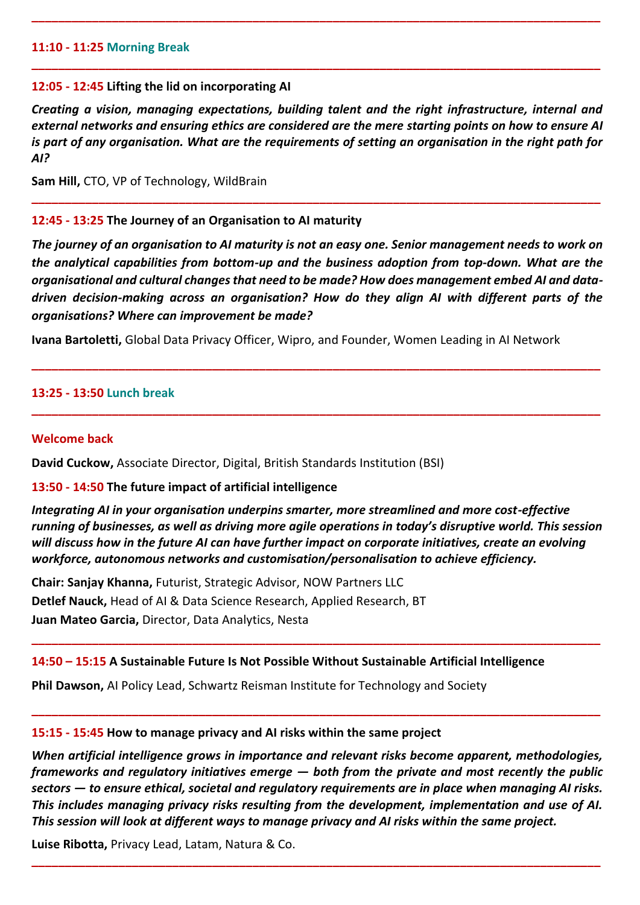# **11:10 - 11:25 Morning Break**

## **12:05 - 12:45 Lifting the lid on incorporating AI**

*Creating a vision, managing expectations, building talent and the right infrastructure, internal and external networks and ensuring ethics are considered are the mere starting points on how to ensure AI is part of any organisation. What are the requirements of setting an organisation in the right path for AI?*

**\_\_\_\_\_\_\_\_\_\_\_\_\_\_\_\_\_\_\_\_\_\_\_\_\_\_\_\_\_\_\_\_\_\_\_\_\_\_\_\_\_\_\_\_\_\_\_\_\_\_\_\_\_\_\_\_\_\_\_\_\_\_\_\_\_\_\_\_\_\_\_\_\_\_\_\_\_\_\_\_\_\_\_\_\_**

**\_\_\_\_\_\_\_\_\_\_\_\_\_\_\_\_\_\_\_\_\_\_\_\_\_\_\_\_\_\_\_\_\_\_\_\_\_\_\_\_\_\_\_\_\_\_\_\_\_\_\_\_\_\_\_\_\_\_\_\_\_\_\_\_\_\_\_\_\_\_\_\_\_\_\_\_\_\_\_\_\_\_\_\_\_**

**\_\_\_\_\_\_\_\_\_\_\_\_\_\_\_\_\_\_\_\_\_\_\_\_\_\_\_\_\_\_\_\_\_\_\_\_\_\_\_\_\_\_\_\_\_\_\_\_\_\_\_\_\_\_\_\_\_\_\_\_\_\_\_\_\_\_\_\_\_\_\_\_\_\_\_\_\_\_\_\_\_\_\_\_\_**

**Sam Hill,** CTO, VP of Technology, WildBrain

# **12:45 - 13:25 The Journey of an Organisation to AI maturity**

*The journey of an organisation to AI maturity is not an easy one. Senior management needs to work on the analytical capabilities from bottom-up and the business adoption from top-down. What are the organisational and cultural changes that need to be made? How does management embed AI and datadriven decision-making across an organisation? How do they align AI with different parts of the organisations? Where can improvement be made?*

**\_\_\_\_\_\_\_\_\_\_\_\_\_\_\_\_\_\_\_\_\_\_\_\_\_\_\_\_\_\_\_\_\_\_\_\_\_\_\_\_\_\_\_\_\_\_\_\_\_\_\_\_\_\_\_\_\_\_\_\_\_\_\_\_\_\_\_\_\_\_\_\_\_\_\_\_\_\_\_\_\_\_\_\_\_**

**\_\_\_\_\_\_\_\_\_\_\_\_\_\_\_\_\_\_\_\_\_\_\_\_\_\_\_\_\_\_\_\_\_\_\_\_\_\_\_\_\_\_\_\_\_\_\_\_\_\_\_\_\_\_\_\_\_\_\_\_\_\_\_\_\_\_\_\_\_\_\_\_\_\_\_\_\_\_\_\_\_\_\_\_\_**

**Ivana Bartoletti,** Global Data Privacy Officer, Wipro, and Founder, Women Leading in AI Network

#### **13:25 - 13:50 Lunch break**

#### **Welcome back**

**David Cuckow,** Associate Director, Digital, British Standards Institution (BSI)

#### **13:50 - 14:50 The future impact of artificial intelligence**

*Integrating AI in your organisation underpins smarter, more streamlined and more cost-effective running of businesses, as well as driving more agile operations in today's disruptive world. This session will discuss how in the future AI can have further impact on corporate initiatives, create an evolving workforce, autonomous networks and customisation/personalisation to achieve efficiency.* 

**\_\_\_\_\_\_\_\_\_\_\_\_\_\_\_\_\_\_\_\_\_\_\_\_\_\_\_\_\_\_\_\_\_\_\_\_\_\_\_\_\_\_\_\_\_\_\_\_\_\_\_\_\_\_\_\_\_\_\_\_\_\_\_\_\_\_\_\_\_\_\_\_\_\_\_\_\_\_\_\_\_\_\_\_\_**

**\_\_\_\_\_\_\_\_\_\_\_\_\_\_\_\_\_\_\_\_\_\_\_\_\_\_\_\_\_\_\_\_\_\_\_\_\_\_\_\_\_\_\_\_\_\_\_\_\_\_\_\_\_\_\_\_\_\_\_\_\_\_\_\_\_\_\_\_\_\_\_\_\_\_\_\_\_\_\_\_\_\_\_\_\_**

**Chair: Sanjay Khanna,** Futurist, Strategic Advisor, NOW Partners LLC **Detlef Nauck,** Head of AI & Data Science Research, Applied Research, BT **Juan Mateo Garcia,** Director, Data Analytics, Nesta

# **14:50 – 15:15 A Sustainable Future Is Not Possible Without Sustainable Artificial Intelligence**

**Phil Dawson,** AI Policy Lead, Schwartz Reisman Institute for Technology and Society

# **15:15 - 15:45 How to manage privacy and AI risks within the same project**

*When artificial intelligence grows in importance and relevant risks become apparent, methodologies, frameworks and regulatory initiatives emerge — both from the private and most recently the public sectors — to ensure ethical, societal and regulatory requirements are in place when managing AI risks. This includes managing privacy risks resulting from the development, implementation and use of AI. This session will look at different ways to manage privacy and AI risks within the same project.*

**\_\_\_\_\_\_\_\_\_\_\_\_\_\_\_\_\_\_\_\_\_\_\_\_\_\_\_\_\_\_\_\_\_\_\_\_\_\_\_\_\_\_\_\_\_\_\_\_\_\_\_\_\_\_\_\_\_\_\_\_\_\_\_\_\_\_\_\_\_\_\_\_\_\_\_\_\_\_\_\_\_\_\_\_\_**

**Luise Ribotta,** Privacy Lead, Latam, Natura & Co.